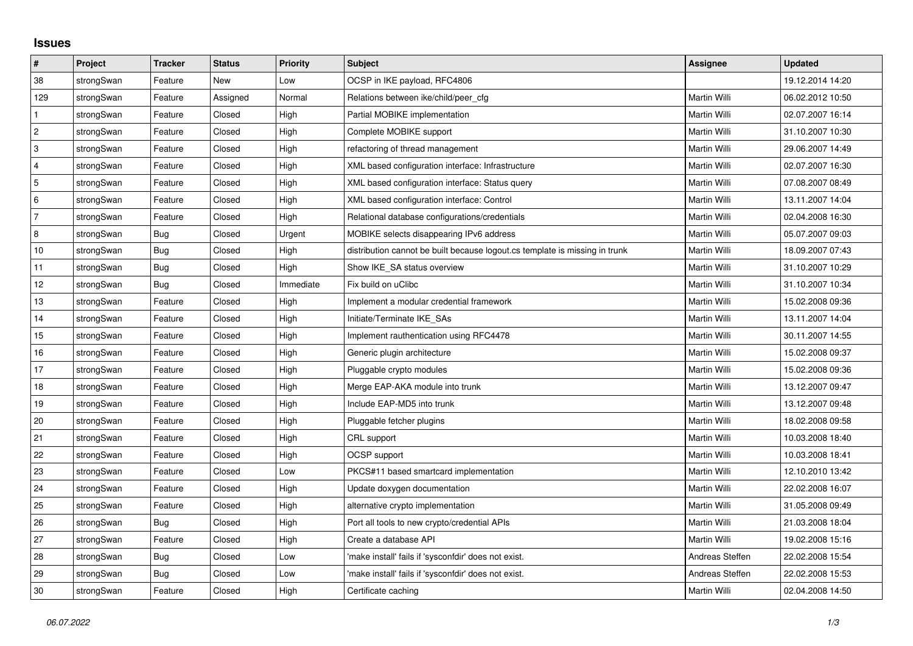## **Issues**

| #              | Project    | <b>Tracker</b> | <b>Status</b> | Priority  | <b>Subject</b>                                                              | <b>Assignee</b> | <b>Updated</b>   |
|----------------|------------|----------------|---------------|-----------|-----------------------------------------------------------------------------|-----------------|------------------|
| 38             | strongSwan | Feature        | New           | Low       | OCSP in IKE payload, RFC4806                                                |                 | 19.12.2014 14:20 |
| 129            | strongSwan | Feature        | Assigned      | Normal    | Relations between ike/child/peer cfg                                        | Martin Willi    | 06.02.2012 10:50 |
| $\mathbf 1$    | strongSwan | Feature        | Closed        | High      | Partial MOBIKE implementation                                               | Martin Willi    | 02.07.2007 16:14 |
| $\overline{2}$ | strongSwan | Feature        | Closed        | High      | Complete MOBIKE support                                                     | Martin Willi    | 31.10.2007 10:30 |
| 3              | strongSwan | Feature        | Closed        | High      | refactoring of thread management                                            | Martin Willi    | 29.06.2007 14:49 |
| 4              | strongSwan | Feature        | Closed        | High      | XML based configuration interface: Infrastructure                           | Martin Willi    | 02.07.2007 16:30 |
| 5              | strongSwan | Feature        | Closed        | High      | XML based configuration interface: Status query                             | Martin Willi    | 07.08.2007 08:49 |
| 6              | strongSwan | Feature        | Closed        | High      | XML based configuration interface: Control                                  | Martin Willi    | 13.11.2007 14:04 |
| 7              | strongSwan | Feature        | Closed        | High      | Relational database configurations/credentials                              | Martin Willi    | 02.04.2008 16:30 |
| $\,8\,$        | strongSwan | Bug            | Closed        | Urgent    | MOBIKE selects disappearing IPv6 address                                    | Martin Willi    | 05.07.2007 09:03 |
| 10             | strongSwan | Bug            | Closed        | High      | distribution cannot be built because logout.cs template is missing in trunk | Martin Willi    | 18.09.2007 07:43 |
| 11             | strongSwan | Bug            | Closed        | High      | Show IKE SA status overview                                                 | Martin Willi    | 31.10.2007 10:29 |
| 12             | strongSwan | Bug            | Closed        | Immediate | Fix build on uClibc                                                         | Martin Willi    | 31.10.2007 10:34 |
| 13             | strongSwan | Feature        | Closed        | High      | Implement a modular credential framework                                    | Martin Willi    | 15.02.2008 09:36 |
| 14             | strongSwan | Feature        | Closed        | High      | Initiate/Terminate IKE_SAs                                                  | Martin Willi    | 13.11.2007 14:04 |
| 15             | strongSwan | Feature        | Closed        | High      | Implement rauthentication using RFC4478                                     | Martin Willi    | 30.11.2007 14:55 |
| 16             | strongSwan | Feature        | Closed        | High      | Generic plugin architecture                                                 | Martin Willi    | 15.02.2008 09:37 |
| 17             | strongSwan | Feature        | Closed        | High      | Pluggable crypto modules                                                    | Martin Willi    | 15.02.2008 09:36 |
| 18             | strongSwan | Feature        | Closed        | High      | Merge EAP-AKA module into trunk                                             | Martin Willi    | 13.12.2007 09:47 |
| 19             | strongSwan | Feature        | Closed        | High      | Include EAP-MD5 into trunk                                                  | Martin Willi    | 13.12.2007 09:48 |
| 20             | strongSwan | Feature        | Closed        | High      | Pluggable fetcher plugins                                                   | Martin Willi    | 18.02.2008 09:58 |
| 21             | strongSwan | Feature        | Closed        | High      | CRL support                                                                 | Martin Willi    | 10.03.2008 18:40 |
| 22             | strongSwan | Feature        | Closed        | High      | <b>OCSP</b> support                                                         | Martin Willi    | 10.03.2008 18:41 |
| 23             | strongSwan | Feature        | Closed        | Low       | PKCS#11 based smartcard implementation                                      | Martin Willi    | 12.10.2010 13:42 |
| 24             | strongSwan | Feature        | Closed        | High      | Update doxygen documentation                                                | Martin Willi    | 22.02.2008 16:07 |
| 25             | strongSwan | Feature        | Closed        | High      | alternative crypto implementation                                           | Martin Willi    | 31.05.2008 09:49 |
| 26             | strongSwan | Bug            | Closed        | High      | Port all tools to new crypto/credential APIs                                | Martin Willi    | 21.03.2008 18:04 |
| 27             | strongSwan | Feature        | Closed        | High      | Create a database API                                                       | Martin Willi    | 19.02.2008 15:16 |
| 28             | strongSwan | Bug            | Closed        | Low       | make install' fails if 'sysconfdir' does not exist.                         | Andreas Steffen | 22.02.2008 15:54 |
| 29             | strongSwan | Bug            | Closed        | Low       | 'make install' fails if 'sysconfdir' does not exist.                        | Andreas Steffen | 22.02.2008 15:53 |
| 30             | strongSwan | Feature        | Closed        | High      | Certificate caching                                                         | Martin Willi    | 02.04.2008 14:50 |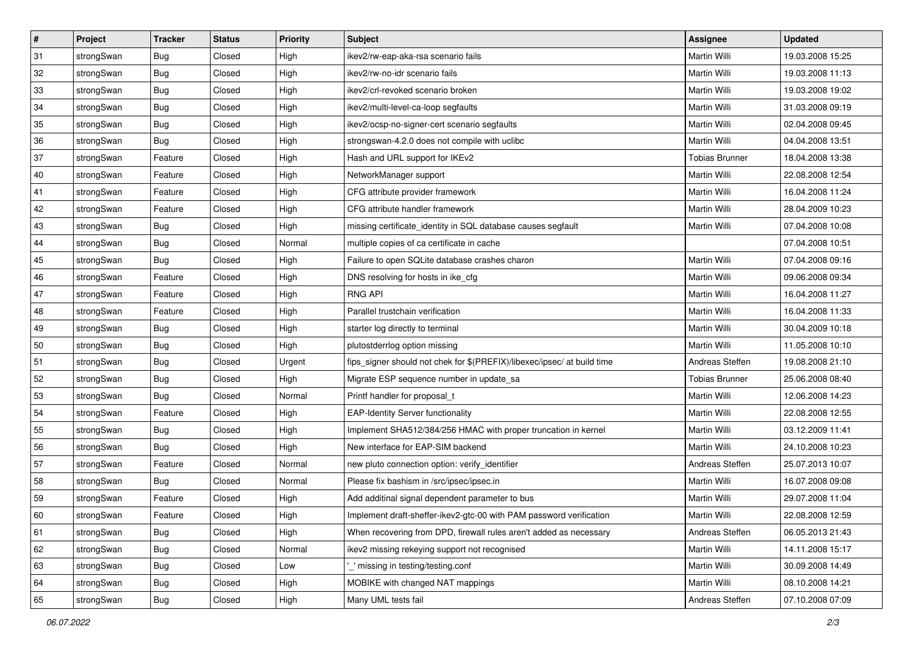| #  | Project    | <b>Tracker</b> | <b>Status</b> | <b>Priority</b> | <b>Subject</b>                                                          | <b>Assignee</b>       | <b>Updated</b>   |
|----|------------|----------------|---------------|-----------------|-------------------------------------------------------------------------|-----------------------|------------------|
| 31 | strongSwan | <b>Bug</b>     | Closed        | High            | ikev2/rw-eap-aka-rsa scenario fails                                     | Martin Willi          | 19.03.2008 15:25 |
| 32 | strongSwan | Bug            | Closed        | High            | ikev2/rw-no-idr scenario fails                                          | <b>Martin Willi</b>   | 19.03.2008 11:13 |
| 33 | strongSwan | <b>Bug</b>     | Closed        | High            | ikev2/crl-revoked scenario broken                                       | Martin Willi          | 19.03.2008 19:02 |
| 34 | strongSwan | <b>Bug</b>     | Closed        | High            | ikev2/multi-level-ca-loop segfaults                                     | Martin Willi          | 31.03.2008 09:19 |
| 35 | strongSwan | Bug            | Closed        | High            | ikev2/ocsp-no-signer-cert scenario segfaults                            | Martin Willi          | 02.04.2008 09:45 |
| 36 | strongSwan | <b>Bug</b>     | Closed        | High            | strongswan-4.2.0 does not compile with uclibe                           | Martin Willi          | 04.04.2008 13:51 |
| 37 | strongSwan | Feature        | Closed        | High            | Hash and URL support for IKEv2                                          | <b>Tobias Brunner</b> | 18.04.2008 13:38 |
| 40 | strongSwan | Feature        | Closed        | High            | NetworkManager support                                                  | Martin Willi          | 22.08.2008 12:54 |
| 41 | strongSwan | Feature        | Closed        | High            | CFG attribute provider framework                                        | Martin Willi          | 16.04.2008 11:24 |
| 42 | strongSwan | Feature        | Closed        | High            | CFG attribute handler framework                                         | Martin Willi          | 28.04.2009 10:23 |
| 43 | strongSwan | <b>Bug</b>     | Closed        | High            | missing certificate_identity in SQL database causes segfault            | Martin Willi          | 07.04.2008 10:08 |
| 44 | strongSwan | <b>Bug</b>     | Closed        | Normal          | multiple copies of ca certificate in cache                              |                       | 07.04.2008 10:51 |
| 45 | strongSwan | Bug            | Closed        | High            | Failure to open SQLite database crashes charon                          | Martin Willi          | 07.04.2008 09:16 |
| 46 | strongSwan | Feature        | Closed        | High            | DNS resolving for hosts in ike_cfg                                      | Martin Willi          | 09.06.2008 09:34 |
| 47 | strongSwan | Feature        | Closed        | High            | <b>RNG API</b>                                                          | <b>Martin Willi</b>   | 16.04.2008 11:27 |
| 48 | strongSwan | Feature        | Closed        | High            | Parallel trustchain verification                                        | Martin Willi          | 16.04.2008 11:33 |
| 49 | strongSwan | <b>Bug</b>     | Closed        | High            | starter log directly to terminal                                        | <b>Martin Willi</b>   | 30.04.2009 10:18 |
| 50 | strongSwan | Bug            | Closed        | High            | plutostderrlog option missing                                           | <b>Martin Willi</b>   | 11.05.2008 10:10 |
| 51 | strongSwan | <b>Bug</b>     | Closed        | Urgent          | fips_signer should not chek for \$(PREFIX)/libexec/ipsec/ at build time | Andreas Steffen       | 19.08.2008 21:10 |
| 52 | strongSwan | Bug            | Closed        | High            | Migrate ESP sequence number in update_sa                                | <b>Tobias Brunner</b> | 25.06.2008 08:40 |
| 53 | strongSwan | Bug            | Closed        | Normal          | Printf handler for proposal t                                           | Martin Willi          | 12.06.2008 14:23 |
| 54 | strongSwan | Feature        | Closed        | High            | <b>EAP-Identity Server functionality</b>                                | Martin Willi          | 22.08.2008 12:55 |
| 55 | strongSwan | Bug            | Closed        | High            | Implement SHA512/384/256 HMAC with proper truncation in kernel          | Martin Willi          | 03.12.2009 11:41 |
| 56 | strongSwan | <b>Bug</b>     | Closed        | High            | New interface for EAP-SIM backend                                       | Martin Willi          | 24.10.2008 10:23 |
| 57 | strongSwan | Feature        | Closed        | Normal          | new pluto connection option: verify_identifier                          | Andreas Steffen       | 25.07.2013 10:07 |
| 58 | strongSwan | <b>Bug</b>     | Closed        | Normal          | Please fix bashism in /src/ipsec/ipsec.in                               | <b>Martin Willi</b>   | 16.07.2008 09:08 |
| 59 | strongSwan | Feature        | Closed        | High            | Add additinal signal dependent parameter to bus                         | Martin Willi          | 29.07.2008 11:04 |
| 60 | strongSwan | Feature        | Closed        | High            | Implement draft-sheffer-ikev2-gtc-00 with PAM password verification     | Martin Willi          | 22.08.2008 12:59 |
| 61 | strongSwan | Bug            | Closed        | High            | When recovering from DPD, firewall rules aren't added as necessary      | Andreas Steffen       | 06.05.2013 21:43 |
| 62 | strongSwan | <b>Bug</b>     | Closed        | Normal          | ikev2 missing rekeying support not recognised                           | Martin Willi          | 14.11.2008 15:17 |
| 63 | strongSwan | Bug            | Closed        | Low             | missing in testing/testing.conf                                         | Martin Willi          | 30.09.2008 14:49 |
| 64 | strongSwan | Bug            | Closed        | High            | MOBIKE with changed NAT mappings                                        | Martin Willi          | 08.10.2008 14:21 |
| 65 | strongSwan | Bug            | Closed        | High            | Many UML tests fail                                                     | Andreas Steffen       | 07.10.2008 07:09 |